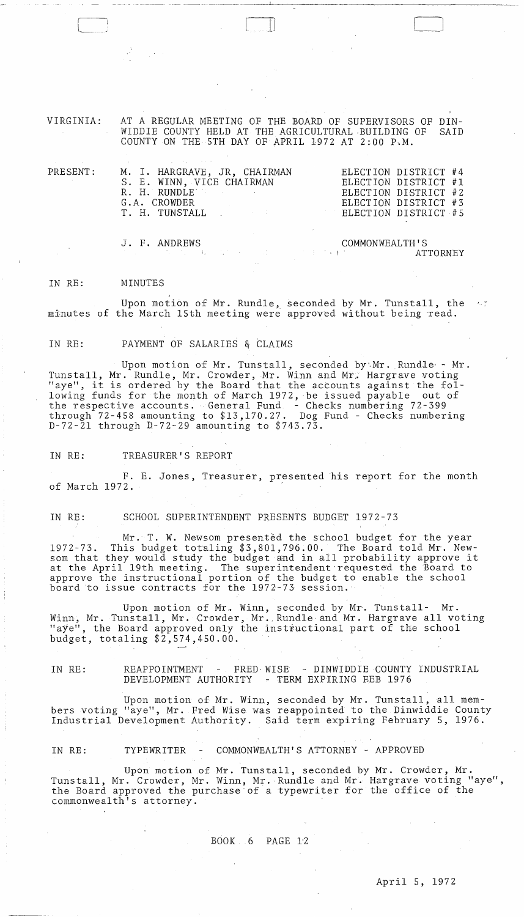VIRGINIA: AT A REGULAR MEETING OF THE BOARD OF SUPERVISORS OF DIN-WIDDIE COUNTY HELD AT THE AGRICULTURAL ,BUILDING OF SAID COUNTY ON THE 5TH DAY OF APRIL 1972 AT 2:00 P.M.

 $\begin{bmatrix} \phantom{-} \end{bmatrix}$ 

| $\mathtt{PRESENT}$ : | M. I. HARGRAVE, JR. CHAIRMAN               | ELECTION DISTRICT #4 |
|----------------------|--------------------------------------------|----------------------|
|                      | S. E. WINN, VICE CHAIRMAN                  | ELECTION DISTRICT #1 |
|                      | R. H. RUNDLE AREA AND A STREET             | ELECTION DISTRICT #2 |
|                      | G.A. CROWDER                               | ELECTION DISTRICT #3 |
|                      | T. H. TUNSTALL (2008) ELECTION DISTRICT #5 |                      |
|                      |                                            |                      |
|                      |                                            |                      |

J. F. ANDREWS

COMMONWEALTH'S , . ATTORNEY

#### IN RE: MINUTES

(-\_.\_.

Upon motion of Mr. Rundle, seconded by Mr. Tunstall, the minutes of the March 15th meeting were approved without being read.

IN RE: PAYMENT OF SALARIES & CLAIMS

Upon motion of Mr. Tunstall, seconded by Mr. Rundle - Mr. Tunstall, Mr. Rundle, Mr. Crowder, Mr. Winn and Mr. Hargrave voting "aye", it is ordered by the Board that the accounts against the following funds for the month of March 1972, be issued payable out of the respective accounts. General Fund - Checks numbering 72-399 through 72-458 amounting to \$13,170.27. Dog Fund - Checks numbering D-72-2l through D-72-29 amounting to \$743.73.

IN RE: TREASURER'S REPORT

F. E. Jones, Treasurer, presented his report for the month of March 1972.

IN RE: SCHOOL SUPERINTENDENT PRESENTS BUDGET 1972-73

Mr. T. W. Newsom presented the school budget for the year 1972-73. This budget totaling \$3,801,796.00. The Board told Mr. Newsom that they would study the budget and in all probability approve it at the April 19th meeting. The superintendent-requested the Board to approve the instructional portion of the budget to enable the school board to issue contracts for the 1972-73 session.

Upon motion of Mr. Winn, seconded by Mr. Tunstall- Mr. Winn, Mr. Tunstall, Mr. Crowder, Mr. Rundle and Mr. Hargrave all voting "aye", the Board approved only the instructional part of the school budget, totaling \$2,574,450.00.

IN RE: REAPPOINTMENT - FRED-WISE - DINWIDDIE COUNTY INDUSTRIAL DEVELOPMENT AUTHORITY - TERM EXPIRING FEB 1976

Upon motion of Mr. Winn, seconded by Mr. Tunstall, all members voting "aye", Mr. Fred Wise was reappointed to the Dinwiddie County Industrial Development Authority. Said term expiring February 5, 1976.

IN RE: TYPEWRITER COMMONWEALTH'S ATTORNEY - APPROVED

Upon motion of Mr. Tunstall, seconded by Mr. Crowder, Mr. Tunstall, Mr. Crowder, Mr. Winn, Mr. Rundle and Mr. Hargrave voting "aye", the Board approved the purchase of a typewriter for the office of the commonwealth's attorney.

### BOOK 6 PAGE 1'2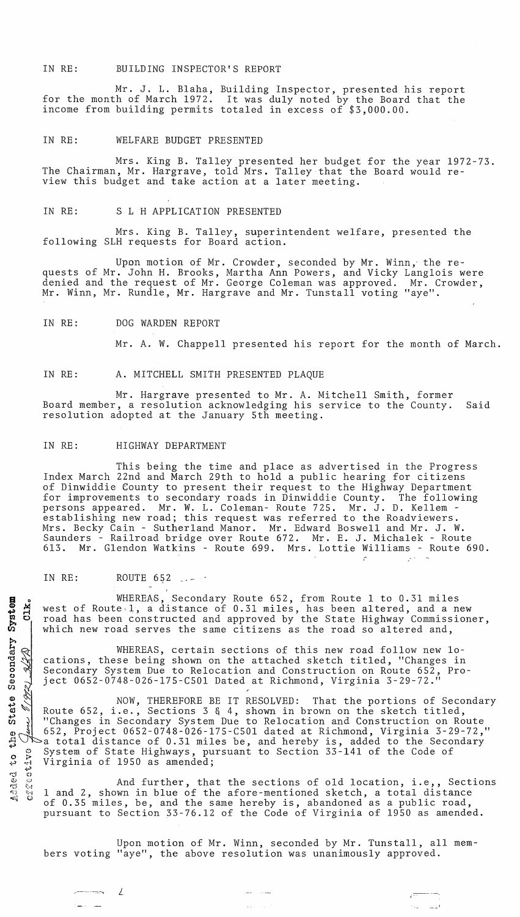IN RE: BUILDING INSPECTOR'S REPORT

Mr. J. L. Blaha, Building Inspector, presented his report<br>for the month of March 1972. It was duly noted by the Board that the It was duly noted by the Board that the income from building permits totaled in excess of \$3,000.00.

## IN RE: WELFARE BUDGET PRESENTED

Mrs. King B. Talley presented her budget for the year 1972-73. The Chairman, Mr. Hargrave, told Mrs. Talley that the Board would review this budget and take action at a later meeting.

#### IN RE: S L H APPLICATION PRESENTED

Mrs. King B. Talley, superintendent welfare, presented the following SLH requests for Board action.

Upon motion of Mr. Crowder, seconded by Mr. Winn,' the requests of Mr. John H. Brooks, Martha Ann Powers, and Vicky Langlois were<br>denied and the request of Mr. George Coleman was approved. Mr. Crowder, denied and the request of Mr. George Coleman was approved. Mr. Winn, Mr. Rundle, Mr. Hargrave and Mr. Tunstall voting "aye".

#### IN RE: DOG WARDEN REPORT

Mr. A. W. Chappell presented his report for the month of March.

i

## IN RE: A. MITCHELL SMITH PRESENTED PLAQUE

Mr. Hargrave presented to Mr. A. Mitchell Smith, former Board member, a resolution acknowledging his service to the County. Said resolution adopted at the January 5th meeting.

## IN RE: HIGHWAY DEPARTMENT

This being the time and place as advertised in the Progress Index March 22nd and March 29th to hold a public hearing for citizens of Dinwiddie 80unty to present their request to the Highway Department for improvements to secondary roads in Dinwiddie County. The following persons appeared. Mr. W. L. Coleman- Route 725. Mr. J. D. Kellem establishing new road; this request was referred to the Roadviewers. Mrs. Becky Cain - Sutherland Manor. Mr. Edward Boswell and Mr. J. W. Saunders - Railroad bridge over Route 672. Mr. E. J. Michalek - Route 613. Mr. Glendon Watkins - Route 699. Mrs. Lottie Williams - Route 690.

## IN RE: ROUTE 652

 $\overline{\phantom{a}}$   $\overline{\phantom{a}}$   $\overline{\phantom{a}}$   $\overline{\phantom{a}}$   $\overline{\phantom{a}}$   $\overline{\phantom{a}}$   $\overline{\phantom{a}}$   $\overline{\phantom{a}}$   $\overline{\phantom{a}}$   $\overline{\phantom{a}}$   $\overline{\phantom{a}}$   $\overline{\phantom{a}}$   $\overline{\phantom{a}}$   $\overline{\phantom{a}}$   $\overline{\phantom{a}}$   $\overline{\phantom{a}}$   $\overline{\phantom{a}}$   $\overline{\phantom{a}}$   $\overline{\$ 

WHEREAS, Secondary Route 652, from Route 1 to 0.31 miles west of Route<sup>1</sup>, a distance of 0.31 miles, has been altered, and a new road has been constructed and approved by the State Highway Commissioner, which new road serves the same citizens as the road so altered and,

WHEREAS, certain sections of this new road follow new locations, these being shown on the attached sketch titled, "Changes in Secondary System Due to Relocation and Construction on Route 652, Project 0652-0748-026-l75-C50l Dated at Richmond, Virginia 3-29-72."

NOW, THEREFORE BE IT RESOLVED: That the portions of Secondary Route 652, i.e., Sections 3 & 4, shown in brown on the sketch titled, "Changes in Secondary System Due to Relocation and Construction on Route 652, Project 0652-0748-026-l75-C50l dated at Richmond, Virginia 3-29-72," a total distance of 0.31 miles be, and hereby is, added to the Secondary System of State Highways, pursuant to Section 33-141 of the Code of Virginia of 1950 as amended;

And further, that the sections of old location, i.e,, Sections 1 and 2, shown in blue of the afore-mentioned sketch, a total distance of 0.35 miles, be, and the same hereby is, abandoned as a public road, pursuant to Section 33-76.12 of the Code of Virginia of 1950 as amended.

Upon motion of Mr. Winn, seconded by Mr. Tunstall, all members voting "aye", the above resolution was unanimously approved.

 $\frac{1}{1}$  ,  $\frac{1}{2}$  , til 0<br>Cys Secondary  $\bm{\mathbb{O}}$ e f  $\vec{a}$  $\frac{1}{\mathcal{V}}$ a) .c.  $\circ$  $\ddot{\mathbf{e}}$ **4'·'** ·d .;.,) **.......... i**0 **Q;** ,"}.) **I'?,j** t; ... ·l **'1'1** ~~~l' ""ll V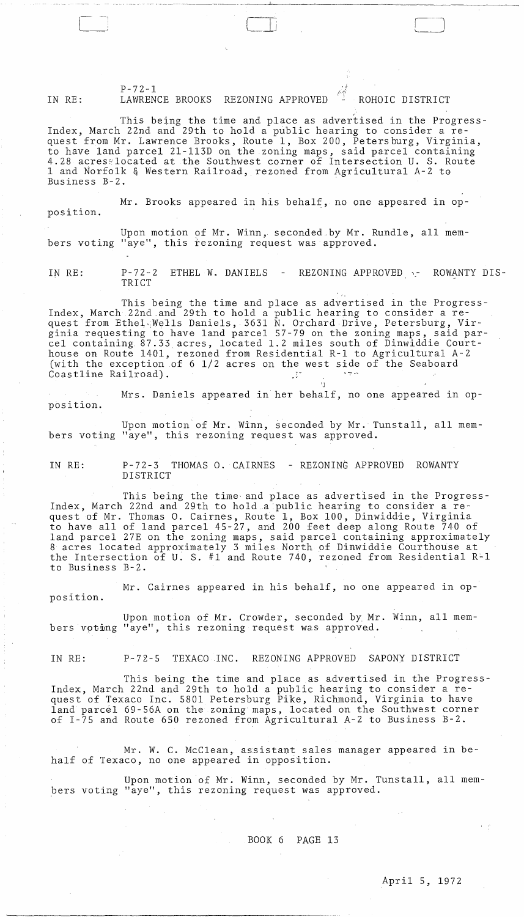P-72-l IN RE: LAWRENCE BROOKS REZONING APPROVED **EXAMPLE A** ROHOIC DISTRICT

This being the time and place as advertised in the Progress-Index, March 22nd and 29th to hold a public hearing to consider a request from Mr. Lawrence Brooks, Route 1, Box 200, Petersburg, Virginia, to have land parcel 2l-ll3D on the zoning maps, said parcel containing 4.28 acresslocated at the Southwest corner of Intersection U. S. Route 1 and Norfolk & Western Railroad, rezoned from Agricultural *A-2* to Business B-2. .

Mr. Brooks appeared in his behalf, no one appeared in opposition.

Upon motion of Mr. Winn, seconded by Mr. Rundle, all members voting "aye", this rezoning request was approved.

IN RE: P-72-2 ETHEL W. DANIELS TRICT REZONING APPROVED  $\cdot$ - ROWANTY DIS-

This being the time and place as advertised in the Progress-Index, March 22nd,and 29th to hold a public hearing to consider a request from Ethel Wells Daniels, 3631 N. Orchard Drive, Petersburg, Virginia requesting to have land parcel 57-79 on the zoning maps, said parcel containing. 87.33, acres, located 1.2 miles south of Dinwiddie Courthouse on Route 1401, rezoned from Residential R-l to Agricultural *A-2*  (with the exception of 6 1/2 acres on the west side of the Seaboard Coastline Railroad).

position. Mrs. Daniels appeared in her behalf, no one appeared in op-

Upon motion of Mr. Winn, seconded by Mr. Tunstall, all members voting "aye", this rezoning request was approved.

IN RE: P-72-3 THOMAS O. CAIRNES - REZONING APPROVED ROWANTY DISTRICT

 $"$ 

This being the time· and place as advertised in the Progress-Index, March 22nd and 29th to hold a public hearing to consider a request of Mr. Thomas O. Cairnes, Route 1, Box 100, Dinwiddie, Virginia to have all of land parcel 45-27, and 200 feet deep along Route 740 of land parcel 27E on the zoning maps, said parcel containing approximately 8 acres located approximately 3 miles North of Dinwiddie Courthouse at the Intersection of U. S. #1 and Route 740, rezoned from Residential R~l to Business B-2.

Mr. Cairnes appeared in his behalf, no one appeared in opposition.

Upon motion of Mr. Crowder, seconded by Mr. Winn, all members voting "aye", this rezoning request was approved.

IN RE: P-72-5 TEXACO INC. REZONING APPROVED SAPONY DISTRICT

This being the time and place as advertised in the Progress-Index, March 22nd and 29th to hold a public hearing to consider a request of Texaco Inc. 5801 Petersburg Pike, Richmond, Virginia to have land parcel *69-56A* on the zoning maps, located on the Southwest corner of 1-75 and Route 650 rezoned from Agricultural *A-2* to Business B-2.

Mr. W. C. McClean, assistant sales manager appeared in behalf of Texaco, no one appeared in opposition.

Upon motion of Mr. Winn, seconded by Mr. Tunstall, all members voting "aye", this rezoning request was approved.

# BOOK 6 PAGE 13